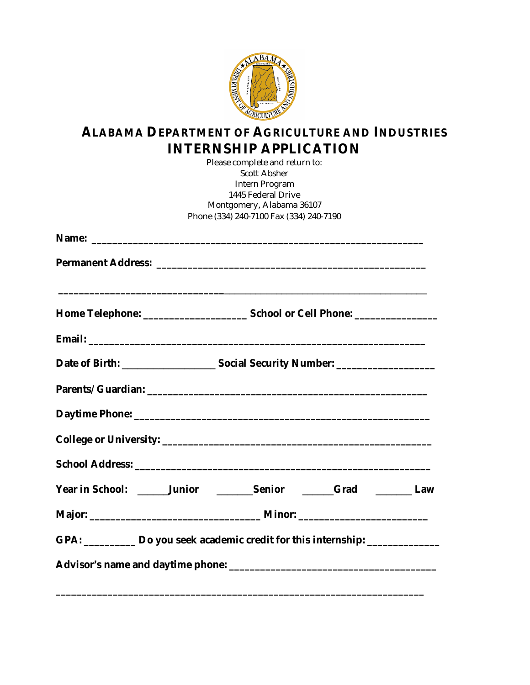

## **ALABAMA DEPARTMENT OF AGRICULTURE AND INDUSTRIES INTERNSHIP APPLICATION**

|                                                                                 |  | Please complete and return to:          |  |  |
|---------------------------------------------------------------------------------|--|-----------------------------------------|--|--|
|                                                                                 |  | <b>Scott Absher</b>                     |  |  |
|                                                                                 |  | <b>Intern Program</b>                   |  |  |
|                                                                                 |  | 1445 Federal Drive                      |  |  |
|                                                                                 |  | Montgomery, Alabama 36107               |  |  |
|                                                                                 |  | Phone (334) 240-7100 Fax (334) 240-7190 |  |  |
|                                                                                 |  |                                         |  |  |
|                                                                                 |  |                                         |  |  |
|                                                                                 |  |                                         |  |  |
|                                                                                 |  |                                         |  |  |
|                                                                                 |  |                                         |  |  |
|                                                                                 |  |                                         |  |  |
|                                                                                 |  |                                         |  |  |
|                                                                                 |  |                                         |  |  |
|                                                                                 |  |                                         |  |  |
| Year in School: ______Junior ________Senior ______Grad _______Law               |  |                                         |  |  |
|                                                                                 |  |                                         |  |  |
| GPA: __________ Do you seek academic credit for this internship: ______________ |  |                                         |  |  |
|                                                                                 |  |                                         |  |  |
|                                                                                 |  |                                         |  |  |